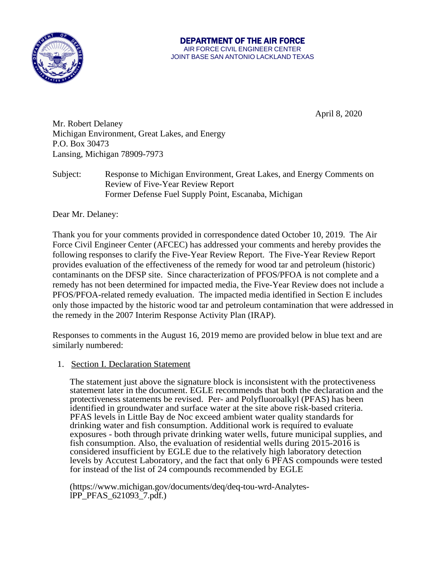

#### AIR FORCE CIVIL ENGINEER CENTER JOINT BASE SAN ANTONIO LACKLAND TEXAS DEPARTMENT OF THE AIR FORCE

April 8, 2020

Mr. Robert Delaney Michigan Environment, Great Lakes, and Energy P.O. Box 30473 Lansing, Michigan 78909-7973

 Former Defense Fuel Supply Point, Escanaba, Michigan Subject: Response to Michigan Environment, Great Lakes, and Energy Comments on Review of Five-Year Review Report

Dear Mr. Delaney:

 Thank you for your comments provided in correspondence dated October 10, 2019. The Air Force Civil Engineer Center (AFCEC) has addressed your comments and hereby provides the following responses to clarify the Five-Year Review Report. The Five-Year Review Report provides evaluation of the effectiveness of the remedy for wood tar and petroleum (historic) contaminants on the DFSP site. Since characterization of PFOS/PFOA is not complete and a remedy has not been determined for impacted media, the Five-Year Review does not include a PFOS/PFOA-related remedy evaluation. The impacted media identified in Section E includes only those impacted by the historic wood tar and petroleum contamination that were addressed in the remedy in the 2007 Interim Response Activity Plan (IRAP).

 Responses to comments in the August 16, 2019 memo are provided below in blue text and are similarly numbered:

## 1. Section I. Declaration Statement

 protectiveness statements be revised. Per- and Polyfluoroalkyl (PFAS) has been The statement just above the signature block is inconsistent with the protectiveness statement later in the document. EGLE recommends that both the declaration and the identified in groundwater and surface water at the site above risk-based criteria. PFAS levels in Little Bay de Noc exceed ambient water quality standards for drinking water and fish consumption. Additional work is required to evaluate exposures - both through private drinking water wells, future municipal supplies, and fish consumption. Also, the evaluation of residential wells during 2015-2016 is considered insufficient by EGLE due to the relatively high laboratory detection levels by Accutest Laboratory, and the fact that only 6 PFAS compounds were tested for instead of the list of 24 compounds recommended by EGLE

[\(https://www.michigan.gov/documents/deq/d](http://www.michigan.gov/documents/deq/deq-tou-wrd-Analytes-)e[q-tou-wrd-Analytes](http://www.michigan.gov/documents/deq/deq-tou-wrd-Analytes-)- lPP\_PFAS\_621093\_7.pdf.)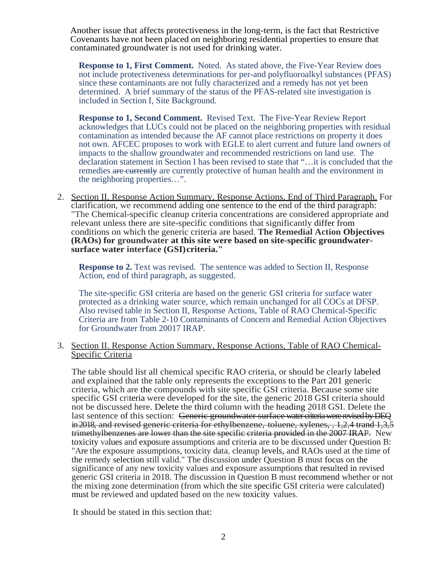Covenants have not been placed on neighboring residential properties to ensure that Another issue that affects protectiveness in the long-term, is the fact that Restrictive contaminated groundwater is not used for drinking water.

 **Response to 1, First Comment.** Noted. As stated above, the Five-Year Review does since these contaminants are not fully characterized and a remedy has not yet been not include protectiveness determinations for per-and polyfluoroalkyl substances (PFAS) determined. A brief summary of the status of the PFAS-related site investigation is included in Section I, Site Background.

 **Response to 1, Second Comment.** Revised Text. The Five-Year Review Report acknowledges that LUCs could not be placed on the neighboring properties with residual contamination as intended because the AF cannot place restrictions on property it does not own. AFCEC proposes to work with EGLE to alert current and future land owners of impacts to the shallow groundwater and recommended restrictions on land use. The declaration statement in Section I has been revised to state that "…it is concluded that the remedies are currently are currently protective of human health and the environment in the neighboring properties…".

 clarification, we recommend adding one sentence to the end of the third paragraph:  conditions on which the generic criteria are based. **The Remedial Action Objectives**  2. Section II. Response Action Summary, Response Actions, End of Third Paragraph. For "The Chemical-specific cleanup criteria concentrations are considered appropriate and relevant unless there are site-specific conditions that significantly differ from **(RAOs) for groundwater at this site were based on site-specific groundwatersurface water interface (GSI)criteria."** 

**Response to 2.** Text was revised. The sentence was added to Section II, Response Action, end of third paragraph, as suggested.

 protected as a drinking water source, which remain unchanged for all COCs at DFSP. for Groundwater from 20017 IRAP. The site-specific GSI criteria are based on the generic GSI criteria for surface water Also revised table in Section II, Response Actions, Table of RAO Chemical-Specific Criteria are from Table 2-10 Contaminants of Concern and Remedial Action Objectives

3. Section II. Response Action Summary, Response Actions, Table of RAO Chemical-Specific Criteria

 not be discussed here. Delete the third column with the heading 2018 GSI. Delete the last sentence of this section: Generic groundwater surface water criteria were revised by DEQ trimethylbenzenes are lower than the site specific criteria provided in the 2007 IRAP. New the remedy selection still valid." The discussion under Question B must focus on the significance of any new toxicity values and exposure assumptions that resulted in revised the mixing zone determination (from which the site specific GSI criteria were calculated) The table should list all chemical specific RAO criteria, or should be clearly labeled and explained that the table only represents the exceptions to the Part 201 generic criteria, which are the compounds with site specific GSI criteria. Because some site specific GSI criteria were developed for the site, the generic 2018 GSI criteria should in 2018, and revised generic criteria for ethylbenzene, toluene, xylenes, 1,2,4 trand 1,3,5 toxicity values and exposure assumptions and criteria are to be discussed under Question B: "Are the exposure assumptions, toxicity data, cleanup levels, and RAOs used at the time of generic GSI criteria in 2018. The discussion in Question B must recommend whether or not must be reviewed and updated based on the new toxicity values.

It should be stated in this section that: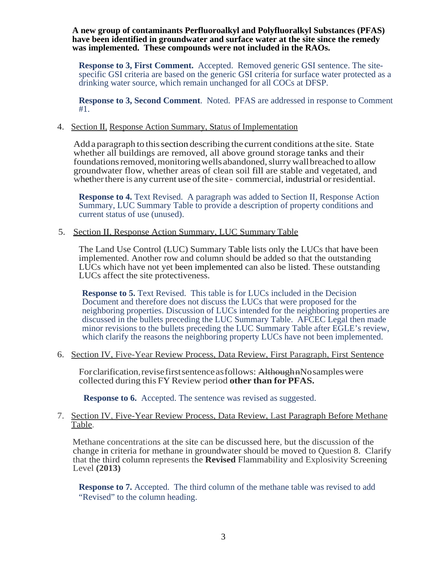**A new group of contaminants Perfluoroalkyl and Polyfluoralkyl Substances (PFAS) have been identified in groundwater and surface water at the site since the remedy was implemented. These compounds were not included in the RAOs.** 

 **Response to 3, First Comment.** Accepted. Removed generic GSI sentence. The site- specific GSI criteria are based on the generic GSI criteria for surface water protected as a drinking water source, which remain unchanged for all COCs at DFSP.

 **Response to 3, Second Comment**. Noted. PFAS are addressed in response to Comment #1.

#### 4. Section II, Response Action Summary, Status of Implementation

 Adda paragraph to this section describing the current conditions atthe site. State whether all buildings are removed, all above ground storage tanks and their foundations removed, monitoring wells abandoned, slurry wall breached to allow groundwater flow, whether areas of clean soil fill are stable and vegetated, and whether there is any current use of the site - commercial, industrial or residential.

 **Response to 4.** Text Revised. A paragraph was added to Section II, Response Action Summary, LUC Summary Table to provide a description of property conditions and current status of use (unused).

### 5. Section II, Response Action Summary, LUC Summary Table

 LUCs which have not yet been implemented can also be listed. These outstanding The Land Use Control (LUC) Summary Table lists only the LUCs that have been implemented. Another row and column should be added so that the outstanding LUCs affect the site protectiveness.

 **Response to 5.** Text Revised. This table is for LUCs included in the Decision neighboring properties. Discussion of LUCs intended for the neighboring properties are Document and therefore does not discuss the LUCs that were proposed for the discussed in the bullets preceding the LUC Summary Table. AFCEC Legal then made minor revisions to the bullets preceding the LUC Summary Table after EGLE's review, which clarify the reasons the neighboring property LUCs have not been implemented.

### 6. Section IV, Five-Year Review Process, Data Review, First Paragraph, First Sentence

Forclarification, revise first sentence as follows: AlthoughnNosamples were collected during this FY Review period **other than for PFAS.** 

**Response to 6.** Accepted. The sentence was revised as suggested.

### 7. Section IV, Five-Year Review Process, Data Review, Last Paragraph Before Methane Table.

 change in criteria for methane in groundwater should be moved to Question 8. Clarify Methane concentrations at the site can be discussed here, but the discussion of the that the third column represents the **Revised** Flammability and Explosivity Screening Level **(2013)** 

 **Response to 7.** Accepted. The third column of the methane table was revised to add "Revised" to the column heading.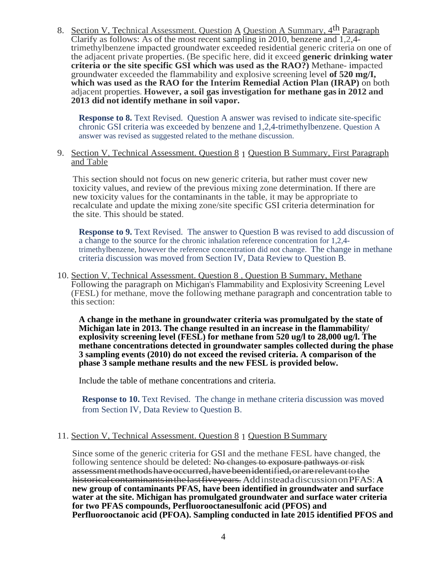8. Section V, Technical Assessment. Question  $\overline{A}$  Question A Summary,  $4^{th}$  Paragraph<br>Clarify as follows: As of the most recent sampling in 2010, benzene and  $\overline{1, 2, 4}$ .  **criteria or the site specific GSI which was used as the RAO?)** Methane- impacted  **which was used as the RAO for the Interim Remedial Action Plan (IRAP)** on both Clarify as follows: As of the most recent sampling in 2010, benzene and 1,2,4 trimethylbenzene impacted groundwater exceeded residential generic criteria on one of the adjacent private properties. (Be specific here, did it exceed **generic drinking water**  groundwater exceeded the flammability and explosive screening level **of 520 mg/I,**  adjacent properties. **However, a soil gas investigation for methane gas in 2012 and 2013 did not identify methane in soil vapor.** 

 chronic GSI criteria was exceeded by benzene and 1,2,4-trimethylbenzene. Question A **Response to 8.** Text Revised. Question A answer was revised to indicate site-specific answer was revised as suggested related to the methane discussion.

9. Section V, Technical Assessment. Question 8 1 Question B Summary, First Paragraph and Table

This section should not focus on new generic criteria, but rather must cover new toxicity values, and review of the previous mixing zone determination. If there are new toxicity values for the contaminants in the table, it may be appropriate to recalculate and update the mixing zone/site specific GSI criteria determination for the site. This should be stated.

 trimethylbenzene, however the reference concentration did not change. The change in methane criteria discussion was moved from Section IV, Data Review to Question B. **Response to 9.** Text Revised. The answer to Question B was revised to add discussion of a change to the source for the chronic inhalation reference concentration for 1,2,4-

 10. Section V, Technical Assessment. Question 8 , Question B Summary, Methane Following the paragraph on Michigan's Flammability and Explosivity Screening Level (FESL) for methane, move the following methane paragraph and concentration table to this section:

**A change in the methane in groundwater criteria was promulgated by the state of Michigan late in 2013. The change resulted in an increase in the flammability/ explosivity screening level (FESL) for methane from 520 ug/l to 28,000 ug/l. The methane concentrations detected in groundwater samples collected during the phase 3 sampling events (2010) do not exceed the revised criteria. A comparison of the phase 3 sample methane results and the new FESL is provided below.** 

Include the table of methane concentrations and criteria.

**Response to 10.** Text Revised. The change in methane criteria discussion was moved from Section IV, Data Review to Question B.

# 11. Section V, Technical Assessment. Question 8 1 Question B Summary

 assessmentmethodshave occurred,havebeen identified,orarerelevant to the historical contaminantsinthe lastfive years. Addinstead adiscussion on PFAS: **A water at the site. Michigan has promulgated groundwater and surface water criteria for two PFAS compounds, Perfluorooctanesulfonic acid (PFOS) and**  Since some of the generic criteria for GSI and the methane FESL have changed, the following sentence should be deleted: No changes to exposure pathways or risk **new group of contaminants PFAS, have been identified in groundwater and surface Perfluorooctanoic acid (PFOA). Sampling conducted in late 2015 identified PFOS and**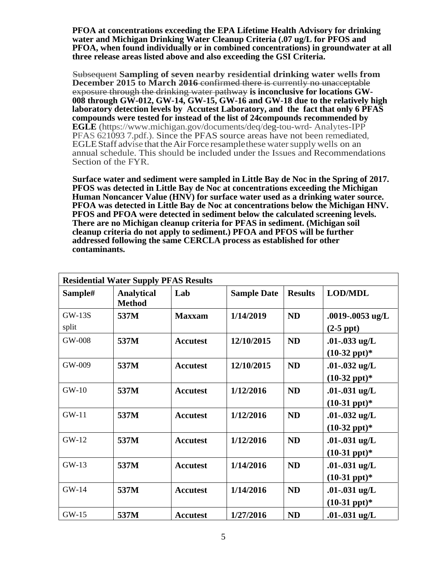**water and Michigan Drinking Water Cleanup Criteria (.07 ug/L for PFOS and PFOA, when found individually or in combined concentrations) in groundwater at all three release areas listed above and also exceeding the GSI Criteria. PFOA at concentrations exceeding the EPA Lifetime Health Advisory for drinking**

 **December 2015 to March 2016** confirmed there is currently no unacceptable  **laboratory detection levels by Accutest Laboratory, and the fact that only 6 PFAS**  PFAS 621093 7.pdf.). Since the PFAS source areas have not been remediated, EGLE Staff advise that the Air Force resample these water supply wells on an Subsequent **Sampling of seven nearby residential drinking water wells from**  exposure through the drinking water pathway **is inconclusive for locations GW- 008 through GW-012, GW-14, GW-15, GW-16 and GW-18 due to the relatively high compounds were tested for instead of the list of 24compounds recommended by EGLE** (https:/[/www.michigan.gov/documents/deq/deg-tou-wrd-](http://www.michigan.gov/documents/deq/deg-tou-wrd) Analytes-IPP annual schedule. This should be included under the Issues and Recommendations Section of the FYR.

 **Surface water and sediment were sampled in Little Bay de Noc in the Spring of 2017. cleanup criteria do not apply to sediment.) PFOA and PFOS will be further PFOS was detected in Little Bay de Noc at concentrations exceeding the Michigan Human Noncancer Value (HNV) for surface water used as a drinking water source. PFOA was detected in Little Bay de Noc at concentrations below the Michigan HNV. PFOS and PFOA were detected in sediment below the calculated screening levels. There are no Michigan cleanup criteria for PFAS in sediment. (Michigan soil addressed following the same CERCLA process as established for other contaminants.** 

| <b>Residential Water Supply PFAS Results</b> |                                    |                 |                    |                |                                            |  |  |  |
|----------------------------------------------|------------------------------------|-----------------|--------------------|----------------|--------------------------------------------|--|--|--|
| Sample#                                      | <b>Analytical</b><br><b>Method</b> | Lab             | <b>Sample Date</b> | <b>Results</b> | <b>LOD/MDL</b>                             |  |  |  |
| $GW-13S$<br>split                            | 537M                               | <b>Maxxam</b>   | 1/14/2019          | <b>ND</b>      | .0019-.0053 ug/L<br>$(2-5$ ppt $)$         |  |  |  |
| GW-008                                       | 537M                               | <b>Accutest</b> | 12/10/2015         | <b>ND</b>      | .01-.033 ug/L<br>$(10-32 \text{ ppt})^*$   |  |  |  |
| GW-009                                       | 537M                               | <b>Accutest</b> | 12/10/2015         | <b>ND</b>      | .01-.032 $ug/L$<br>$(10-32 \text{ ppt})^*$ |  |  |  |
| $GW-10$                                      | 537M                               | <b>Accutest</b> | 1/12/2016          | <b>ND</b>      | .01-.031 $ug/L$<br>$(10-31 \text{ ppt})^*$ |  |  |  |
| $GW-11$                                      | 537M                               | <b>Accutest</b> | 1/12/2016          | <b>ND</b>      | .01-.032 $ug/L$<br>$(10-32 \text{ ppt})^*$ |  |  |  |
| $GW-12$                                      | 537M                               | <b>Accutest</b> | 1/12/2016          | <b>ND</b>      | .01-.031 $ug/L$<br>$(10-31 \text{ ppt})^*$ |  |  |  |
| $GW-13$                                      | 537M                               | <b>Accutest</b> | 1/14/2016          | <b>ND</b>      | .01-.031 $ug/L$<br>$(10-31 \text{ ppt})^*$ |  |  |  |
| $GW-14$                                      | 537M                               | <b>Accutest</b> | 1/14/2016          | <b>ND</b>      | .01-.031 $ug/L$<br>$(10-31$ ppt $)*$       |  |  |  |
| $GW-15$                                      | 537M                               | <b>Accutest</b> | 1/27/2016          | <b>ND</b>      | .01 $-0.031$ ug/L                          |  |  |  |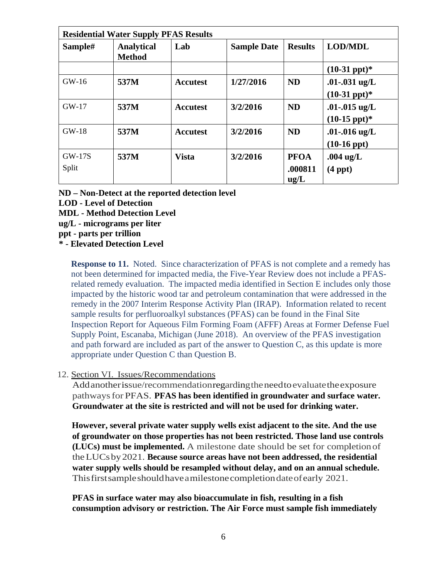| <b>Residential Water Supply PFAS Results</b> |                                    |                 |                    |                                |                                              |  |  |  |
|----------------------------------------------|------------------------------------|-----------------|--------------------|--------------------------------|----------------------------------------------|--|--|--|
| Sample#                                      | <b>Analytical</b><br><b>Method</b> | Lab             | <b>Sample Date</b> | <b>Results</b>                 | <b>LOD/MDL</b>                               |  |  |  |
|                                              |                                    |                 |                    |                                | $(10-31 \text{ ppt})^*$                      |  |  |  |
| $GW-16$                                      | 537M                               | <b>Accutest</b> | 1/27/2016          | <b>ND</b>                      | .01 $-0.031$ ug/L<br>$(10-31 \text{ ppt})^*$ |  |  |  |
| $GW-17$                                      | 537M                               | <b>Accutest</b> | 3/2/2016           | <b>ND</b>                      | .01-.015 $ug/L$<br>$(10-15 \text{ ppt})^*$   |  |  |  |
| $GW-18$                                      | 537M                               | <b>Accutest</b> | 3/2/2016           | <b>ND</b>                      | .01-.016 $ug/L$<br>$(10-16$ ppt $)$          |  |  |  |
| <b>GW-17S</b><br>Split                       | 537M                               | <b>Vista</b>    | 3/2/2016           | <b>PFOA</b><br>.000811<br>ug/L | $.004$ ug/L<br>$(4$ ppt $)$                  |  |  |  |

- **ND Non-Detect at the reported detection level**
- **LOD Level of Detection**
- **MDL - Method Detection Level**
- **ug/L - micrograms per liter**

 **ppt - parts per trillion** 

 **\* - Elevated Detection Level** 

 **Response to 11.** Noted. Since characterization of PFAS is not complete and a remedy has remedy in the 2007 Interim Response Activity Plan (IRAP). Information related to recent sample results for perfluoroalkyl substances (PFAS) can be found in the Final Site Supply Point, Escanaba, Michigan (June 2018). An overview of the PFAS investigation appropriate under Question C than Question B. not been determined for impacted media, the Five-Year Review does not include a PFASrelated remedy evaluation. The impacted media identified in Section E includes only those impacted by the historic wood tar and petroleum contamination that were addressed in the Inspection Report for Aqueous Film Forming Foam (AFFF) Areas at Former Defense Fuel and path forward are included as part of the answer to Question C, as this update is more

## 12. Section VI. Issues/Recommendations

 Addanotherissue/recommendationregardingtheneedtoevaluatetheexposure pathways for PFAS. **PFAS has been identified in groundwater and surface water. Groundwater at the site is restricted and will not be used for drinking water.** 

 **of groundwater on those properties has not been restricted. Those land use controls (LUCs) must be implemented.** A milestone date should be set for completionof theLUCsby2021. **Because source areas have not been addressed, the residential water supply wells should be resampled without delay, and on an annual schedule.**  Thisfirstsampleshouldhaveamilestonecompletiondateofearly 2021. **However, several private water supply wells exist adjacent to the site. And the use** 

**PFAS in surface water may also bioaccumulate in fish, resulting in a fish consumption advisory or restriction. The Air Force must sample fish immediately**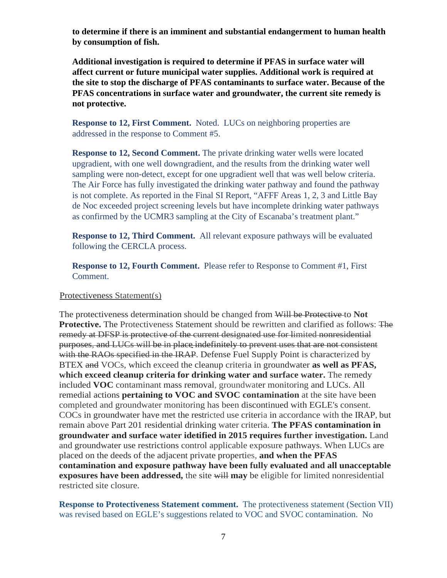**to determine if there is an imminent and substantial endangerment to human health by consumption of fish.** 

 **the site to stop the discharge of PFAS contaminants to surface water. Because of the not protective. Additional investigation is required to determine if PFAS in surface water will affect current or future municipal water supplies. Additional work is required at PFAS concentrations in surface water and groundwater, the current site remedy is** 

 **Response to 12, First Comment.** Noted. LUCs on neighboring properties are addressed in the response to Comment #5.

 upgradient, with one well downgradient, and the results from the drinking water well sampling were non-detect, except for one upgradient well that was well below criteria. **Response to 12, Second Comment.** The private drinking water wells were located The Air Force has fully investigated the drinking water pathway and found the pathway is not complete. As reported in the Final SI Report, "AFFF Areas 1, 2, 3 and Little Bay de Noc exceeded project screening levels but have incomplete drinking water pathways as confirmed by the UCMR3 sampling at the City of Escanaba's treatment plant."

 **Response to 12, Third Comment.** All relevant exposure pathways will be evaluated following the CERCLA process.

 **Response to 12, Fourth Comment.** Please refer to Response to Comment #1, First Comment.

### Protectiveness Statement(s)

 purposes, and LUCs will be in place indefinitely to prevent uses that are not consistent with the RAOs specified in the IRAP. Defense Fuel Supply Point is characterized by  remain above Part 201 residential drinking water criteria. **The PFAS contamination in**  groundwater and surface water idetified in 2015 requires further investigation. Land The protectiveness determination should be changed from Will be Protective to **Not Protective.** The Protectiveness Statement should be rewritten and clarified as follows: The remedy at DFSP is protective of the current designated use for limited nonresidential BTEX and VOCs, which exceed the cleanup criteria in groundwater **as well as PFAS, which exceed cleanup criteria for drinking water and surface water.** The remedy included **VOC** contaminant mass removal, groundwater monitoring and LUCs. All remedial actions **pertaining to VOC and SVOC contamination** at the site have been completed and groundwater monitoring has been discontinued with EGLE's consent. COCs in groundwater have met the restricted use criteria in accordance with the IRAP, but and groundwater use restrictions control applicable exposure pathways. When LUCs are placed on the deeds of the adjacent private properties, **and when the PFAS contamination and exposure pathway have been fully evaluated and all unacceptable exposures have been addressed,** the site will **may** be eligible for limited nonresidential restricted site closure.

 **Response to Protectiveness Statement comment.** The protectiveness statement (Section VII) was revised based on EGLE's suggestions related to VOC and SVOC contamination. No